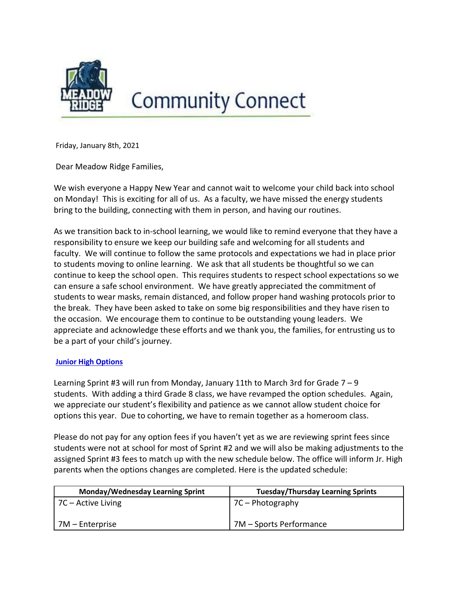

# **Community Connect**

Friday, January 8th, 2021

Dear Meadow Ridge Families,

We wish everyone a Happy New Year and cannot wait to welcome your child back into school on Monday! This is exciting for all of us. As a faculty, we have missed the energy students bring to the building, connecting with them in person, and having our routines.

As we transition back to in-school learning, we would like to remind everyone that they have a responsibility to ensure we keep our building safe and welcoming for all students and faculty. We will continue to follow the same protocols and expectations we had in place prior to students moving to online learning. We ask that all students be thoughtful so we can continue to keep the school open. This requires students to respect school expectations so we can ensure a safe school environment. We have greatly appreciated the commitment of students to wear masks, remain distanced, and follow proper hand washing protocols prior to the break. They have been asked to take on some big responsibilities and they have risen to the occasion. We encourage them to continue to be outstanding young leaders. We appreciate and acknowledge these efforts and we thank you, the families, for entrusting us to be a part of your child's journey.

# Junior High Options

Learning Sprint #3 will run from Monday, January 11th to March 3rd for Grade  $7 - 9$ students. With adding a third Grade 8 class, we have revamped the option schedules. Again, we appreciate our student's flexibility and patience as we cannot allow student choice for options this year. Due to cohorting, we have to remain together as a homeroom class.

Please do not pay for any option fees if you haven't yet as we are reviewing sprint fees since students were not at school for most of Sprint #2 and we will also be making adjustments to the assigned Sprint #3 fees to match up with the new schedule below. The office will inform Jr. High parents when the options changes are completed. Here is the updated schedule:

| Monday/Wednesday Learning Sprint | <b>Tuesday/Thursday Learning Sprints</b> |  |
|----------------------------------|------------------------------------------|--|
| 7C – Active Living               | $\sqrt{7C}$ - Photography                |  |
| 7M – Enterprise                  | 7M – Sports Performance                  |  |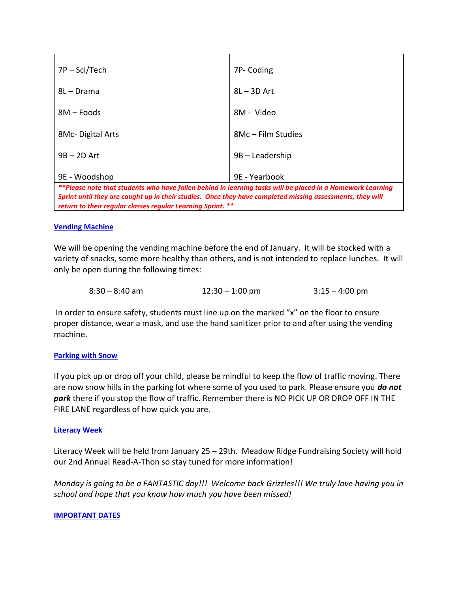| 7P – Sci/Tech                                                                                              | 7P- Coding         |  |  |
|------------------------------------------------------------------------------------------------------------|--------------------|--|--|
| 8L – Drama                                                                                                 | $8L - 3D$ Art      |  |  |
| 8M – Foods                                                                                                 | 8M - Video         |  |  |
| 8Mc-Digital Arts                                                                                           | 8Mc - Film Studies |  |  |
| $9B - 2D$ Art                                                                                              | 9B - Leadership    |  |  |
| 9E - Woodshop                                                                                              | 9E - Yearbook      |  |  |
| **Please note that students who have fallen behind in learning tasks will be placed in a Homework Learning |                    |  |  |
| Sprint until they are caught up in their studies. Once they have completed missing assessments, they will  |                    |  |  |

return to their regular classes regular Learning Sprint. \*\*

### Vending Machine

We will be opening the vending machine before the end of January. It will be stocked with a variety of snacks, some more healthy than others, and is not intended to replace lunches. It will only be open during the following times:

| $8:30 - 8:40$ am | $12:30 - 1:00$ pm | $3:15 - 4:00$ pm |
|------------------|-------------------|------------------|
|                  |                   |                  |

In order to ensure safety, students must line up on the marked "x" on the floor to ensure proper distance, wear a mask, and use the hand sanitizer prior to and after using the vending machine.

### Parking with Snow

If you pick up or drop off your child, please be mindful to keep the flow of traffic moving. There are now snow hills in the parking lot where some of you used to park. Please ensure you **do not** park there if you stop the flow of traffic. Remember there is NO PICK UP OR DROP OFF IN THE FIRE LANE regardless of how quick you are.

# Literacy Week

Literacy Week will be held from January 25 – 29th. Meadow Ridge Fundraising Society will hold our 2nd Annual Read-A-Thon so stay tuned for more information!

Monday is going to be a FANTASTIC day!!! Welcome back Grizzles!!! We truly love having you in school and hope that you know how much you have been missed!

### IMPORTANT DATES